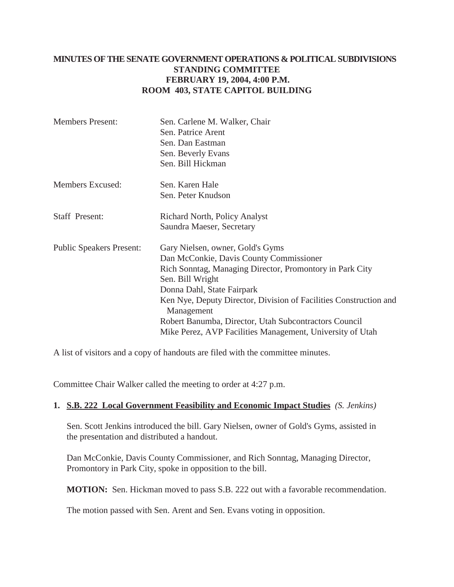## **MINUTES OF THE SENATE GOVERNMENT OPERATIONS & POLITICAL SUBDIVISIONS STANDING COMMITTEE FEBRUARY 19, 2004, 4:00 P.M. ROOM 403, STATE CAPITOL BUILDING**

| <b>Members Present:</b>         | Sen. Carlene M. Walker, Chair<br>Sen. Patrice Arent<br>Sen. Dan Eastman<br>Sen. Beverly Evans<br>Sen. Bill Hickman                                                                                                                                                                                                                                                                                 |
|---------------------------------|----------------------------------------------------------------------------------------------------------------------------------------------------------------------------------------------------------------------------------------------------------------------------------------------------------------------------------------------------------------------------------------------------|
| Members Excused:                | Sen. Karen Hale<br>Sen. Peter Knudson                                                                                                                                                                                                                                                                                                                                                              |
| <b>Staff Present:</b>           | <b>Richard North, Policy Analyst</b><br>Saundra Maeser, Secretary                                                                                                                                                                                                                                                                                                                                  |
| <b>Public Speakers Present:</b> | Gary Nielsen, owner, Gold's Gyms<br>Dan McConkie, Davis County Commissioner<br>Rich Sonntag, Managing Director, Promontory in Park City<br>Sen. Bill Wright<br>Donna Dahl, State Fairpark<br>Ken Nye, Deputy Director, Division of Facilities Construction and<br>Management<br>Robert Banumba, Director, Utah Subcontractors Council<br>Mike Perez, AVP Facilities Management, University of Utah |

A list of visitors and a copy of handouts are filed with the committee minutes.

Committee Chair Walker called the meeting to order at 4:27 p.m.

#### **1. S.B. 222 Local Government Feasibility and Economic Impact Studies** *(S. Jenkins)*

Sen. Scott Jenkins introduced the bill. Gary Nielsen, owner of Gold's Gyms, assisted in the presentation and distributed a handout.

Dan McConkie, Davis County Commissioner, and Rich Sonntag, Managing Director, Promontory in Park City, spoke in opposition to the bill.

**MOTION:** Sen. Hickman moved to pass S.B. 222 out with a favorable recommendation.

The motion passed with Sen. Arent and Sen. Evans voting in opposition.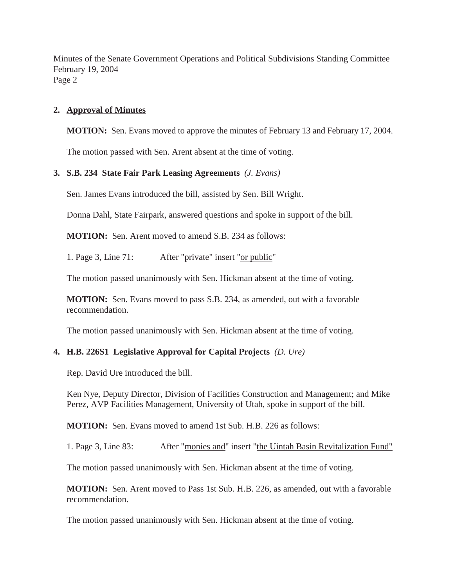Minutes of the Senate Government Operations and Political Subdivisions Standing Committee February 19, 2004 Page 2

### **2. Approval of Minutes**

**MOTION:** Sen. Evans moved to approve the minutes of February 13 and February 17, 2004.

The motion passed with Sen. Arent absent at the time of voting.

### **3. S.B. 234 State Fair Park Leasing Agreements** *(J. Evans)*

Sen. James Evans introduced the bill, assisted by Sen. Bill Wright.

Donna Dahl, State Fairpark, answered questions and spoke in support of the bill.

**MOTION:** Sen. Arent moved to amend S.B. 234 as follows:

1. Page 3, Line 71: After "private" insert "or public"

The motion passed unanimously with Sen. Hickman absent at the time of voting.

**MOTION:** Sen. Evans moved to pass S.B. 234, as amended, out with a favorable recommendation.

The motion passed unanimously with Sen. Hickman absent at the time of voting.

#### **4. H.B. 226S1 Legislative Approval for Capital Projects** *(D. Ure)*

Rep. David Ure introduced the bill.

Ken Nye, Deputy Director, Division of Facilities Construction and Management; and Mike Perez, AVP Facilities Management, University of Utah, spoke in support of the bill.

**MOTION:** Sen. Evans moved to amend 1st Sub. H.B. 226 as follows:

1. Page 3, Line 83: After "monies and" insert "the Uintah Basin Revitalization Fund"

The motion passed unanimously with Sen. Hickman absent at the time of voting.

**MOTION:** Sen. Arent moved to Pass 1st Sub. H.B. 226, as amended, out with a favorable recommendation.

The motion passed unanimously with Sen. Hickman absent at the time of voting.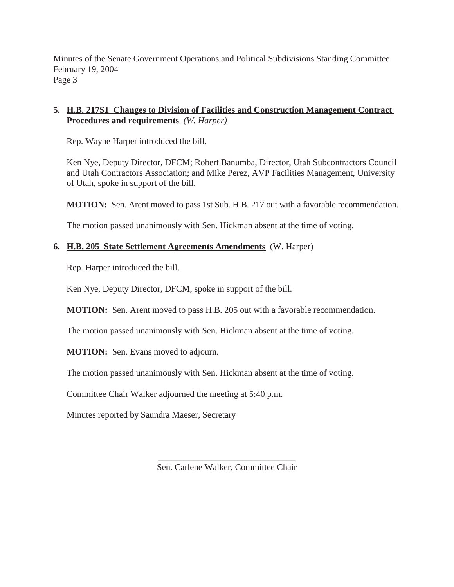Minutes of the Senate Government Operations and Political Subdivisions Standing Committee February 19, 2004 Page 3

# **5. H.B. 217S1 Changes to Division of Facilities and Construction Management Contract Procedures and requirements** *(W. Harper)*

Rep. Wayne Harper introduced the bill.

Ken Nye, Deputy Director, DFCM; Robert Banumba, Director, Utah Subcontractors Council and Utah Contractors Association; and Mike Perez, AVP Facilities Management, University of Utah, spoke in support of the bill.

**MOTION:** Sen. Arent moved to pass 1st Sub. H.B. 217 out with a favorable recommendation.

The motion passed unanimously with Sen. Hickman absent at the time of voting.

# **6. H.B. 205 State Settlement Agreements Amendments** (W. Harper)

Rep. Harper introduced the bill.

Ken Nye, Deputy Director, DFCM, spoke in support of the bill.

**MOTION:** Sen. Arent moved to pass H.B. 205 out with a favorable recommendation.

The motion passed unanimously with Sen. Hickman absent at the time of voting.

**MOTION:** Sen. Evans moved to adjourn.

The motion passed unanimously with Sen. Hickman absent at the time of voting.

Committee Chair Walker adjourned the meeting at 5:40 p.m.

Minutes reported by Saundra Maeser, Secretary

\_\_\_\_\_\_\_\_\_\_\_\_\_\_\_\_\_\_\_\_\_\_\_\_\_\_\_\_\_\_\_ Sen. Carlene Walker, Committee Chair